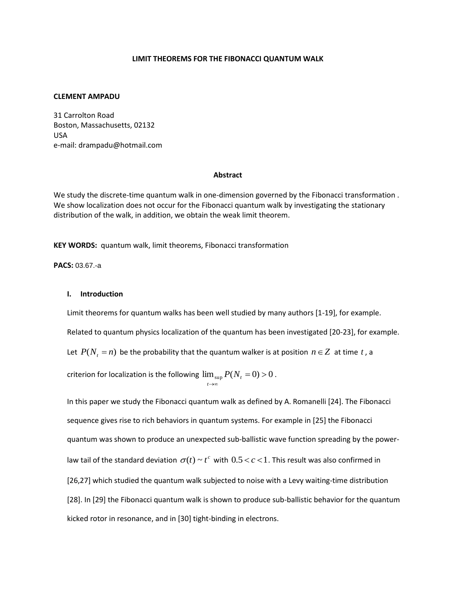### **LIMIT THEOREMS FOR THE FIBONACCI QUANTUM WALK**

### **CLEMENT AMPADU**

31 Carrolton Road Boston, Massachusetts, 02132 USA e-mail: drampadu@hotmail.com

#### **Abstract**

We study the discrete-time quantum walk in one-dimension governed by the Fibonacci transformation . We show localization does not occur for the Fibonacci quantum walk by investigating the stationary distribution of the walk, in addition, we obtain the weak limit theorem.

**KEY WORDS:** quantum walk, limit theorems, Fibonacci transformation

# **PACS:** 03.67.-a

### **I. Introduction**

Limit theorems for quantum walks has been well studied by many authors [1-19], for example. Related to quantum physics localization of the quantum has been investigated [20-23], for example. Let  $P(N_t = n)$  be the probability that the quantum walker is at position  $n \in \mathbb{Z}$  at time t, a criterion for localization is the following  $\lim_{\sup} P(N_{_t}=0)$   $>$  0 →∞ *t t*  $P(N_t = 0) > 0$ .

In this paper we study the Fibonacci quantum walk as defined by A. Romanelli [24]. The Fibonacci sequence gives rise to rich behaviors in quantum systems. For example in [25] the Fibonacci quantum was shown to produce an unexpected sub-ballistic wave function spreading by the powerlaw tail of the standard deviation  $\sigma(t) \sim t^c$  with  $0.5 \lt c \lt 1$  . This result was also confirmed in [26,27] which studied the quantum walk subjected to noise with a Levy waiting-time distribution [28]. In [29] the Fibonacci quantum walk is shown to produce sub-ballistic behavior for the quantum kicked rotor in resonance, and in [30] tight-binding in electrons.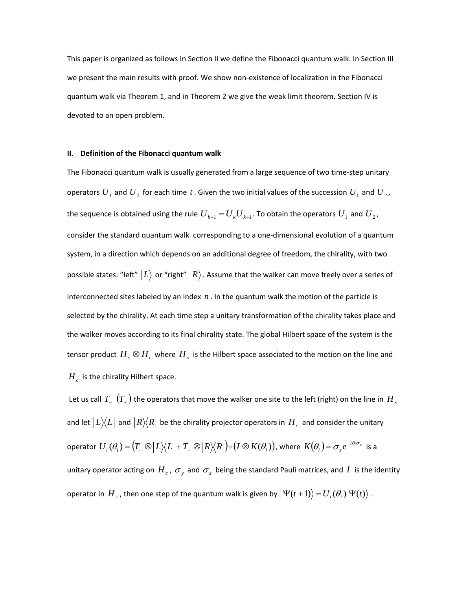This paper is organized as follows in Section II we define the Fibonacci quantum walk. In Section III we present the main results with proof. We show non-existence of localization in the Fibonacci quantum walk via Theorem 1, and in Theorem 2 we give the weak limit theorem. Section IV is devoted to an open problem.

### **II. Definition of the Fibonacci quantum walk**

The Fibonacci quantum walk is usually generated from a large sequence of two time-step unitary operators  $U_1$  and  $U_2$  for each time  $t$  . Given the two initial values of the succession  $U_1$  and  $U_2$ , the sequence is obtained using the rule  $U_{k+1} = U_k U_{k-1}$ . To obtain the operators  $U_1$  and  $U_2$ , consider the standard quantum walk corresponding to a one-dimensional evolution of a quantum system, in a direction which depends on an additional degree of freedom, the chirality, with two possible states: "left"  $\ket{L}$  or "right"  $\ket{R}$  . Assume that the walker can move freely over a series of interconnected sites labeled by an index  $n$  . In the quantum walk the motion of the particle is selected by the chirality. At each time step a unitary transformation of the chirality takes place and the walker moves according to its final chirality state. The global Hilbert space of the system is the tensor product  $H_s\otimes H_c$  where  $H_s$  is the Hilbert space associated to the motion on the line and  $H_c$  is the chirality Hilbert space.

Let us call  $T_{_{-}}$   $\left(T_{_{+}}\right)$  the operators that move the walker one site to the left (right) on the line in  $\,H_{_{S}}$ and let  $|L\rangle\!\langle L|$  and  $|R\rangle\!\langle R|$  be the chirality projector operators in  $\,H_{\,c}\,$  and consider the unitary operator  $U_i(\theta_i)$  =  $\left(T_{\_}\otimes \left|L\right\rangle\!\langle L\right|+T_{_{+}}\otimes\left|R\right\rangle\!\langle R\right|\!\big)\circ \left(I\otimes K(\theta_i)\right)$ , where  $K\!\left(\theta_i\right)\!=\!\sigma_{_{z}}e^{-i\theta_i\sigma_{_{y}}}$  $K(\theta_i)$ =  $\sigma_z e^{-i\theta_i \sigma_y}$  is a unitary operator acting on  $H_c$ ,  $\sigma_y$  and  $\sigma_z$  being the standard Pauli matrices, and  $I$  is the identity operator in  $H_s$  , then one step of the quantum walk is given by  $\big|\Psi(t+1)\big\rangle\!=\!U_i(\theta_i)\big|\Psi(t)\big\rangle$  .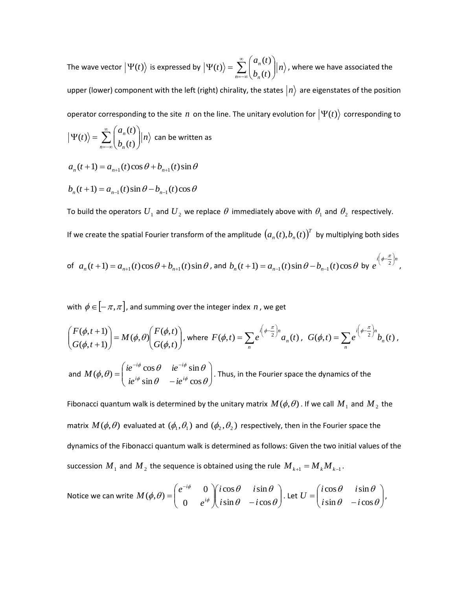The wave vector  $|\Psi(t)\rangle$  is expressed by  $|\Psi(t)\rangle = \sum_{n=1}^{\infty} \frac{d^n n}{n!}$  $b_n(t)$  $a_n(t)$ *t*  $\sum_{n=-\infty}^{\infty} \binom{a_n}{b_n}$  $\sum_{n=-\infty}^{\infty} \binom{a_n(t)}{b_n(t)}$ J  $\backslash$  $\overline{\phantom{a}}$  $\setminus$ ſ  $|\Psi(t)\rangle =$  $(t)$  $(t)$  $\langle t \rangle = \sum_{n=1}^{\infty} \binom{n}{n} \langle n \rangle$ , where we have associated the upper (lower) component with the left (right) chirality, the states  $|n\rangle$  are eigenstates of the position operator corresponding to the site  $n$  on the line. The unitary evolution for  $|\Psi(t)\rangle$  corresponding to *n*  $b_n(t)$  $a_n(t)$ *t*  $\sum_{n=-\infty}^{\infty} \binom{a_n}{b_n}$  $\sum_{n=-\infty}^{\infty} \binom{a_n(t)}{b_n(t)}$ J  $\setminus$  $\overline{\phantom{a}}$  $\setminus$ ſ  $|\Psi(t)\rangle =$  $(t)$  $(t)$  $\langle t \rangle = \sum_{n=1}^{\infty} \binom{n}{n} \langle n \rangle$  can be written as

$$
a_n(t+1) = a_{n+1}(t)\cos\theta + b_{n+1}(t)\sin\theta
$$

$$
b_n(t+1) = a_{n-1}(t)\sin\theta - b_{n-1}(t)\cos\theta
$$

To build the operators  $U_1$  and  $U_2$  we replace  $\theta$  immediately above with  $\theta_1$  and  $\theta_2$  respectively.

If we create the spatial Fourier transform of the amplitude  $\big(a_n^{}(t),b_n^{}(t)\big)^T$  by multiplying both sides

of 
$$
a_n(t+1) = a_{n+1}(t)\cos\theta + b_{n+1}(t)\sin\theta
$$
, and  $b_n(t+1) = a_{n-1}(t)\sin\theta - b_{n-1}(t)\cos\theta$  by  $e^{i(\phi - \frac{\pi}{2})n}$ ,

with  $\phi$   $\in$   $[-\pi,\pi]$ , and summing over the integer index  $\,$  , we get

$$
\begin{pmatrix} F(\phi, t+1) \\ G(\phi, t+1) \end{pmatrix} = M(\phi, \theta) \begin{pmatrix} F(\phi, t) \\ G(\phi, t) \end{pmatrix}, \text{ where } F(\phi, t) = \sum_{n} e^{i\left(\phi - \frac{\pi}{2}\right)n} a_n(t), \ G(\phi, t) = \sum_{n} e^{i\left(\phi - \frac{\pi}{2}\right)n} b_n(t),
$$
  
and 
$$
M(\phi, \theta) = \begin{pmatrix} ie^{-i\phi}\cos\theta & ie^{-i\phi}\sin\theta \\ ie^{i\phi}\sin\theta & -ie^{i\phi}\cos\theta \end{pmatrix}.
$$
 Thus, in the Fourier space the dynamics of the

Fibonacci quantum walk is determined by the unitary matrix  $M(\phi,\theta)$  . If we call  $M_1$  and  $M_2$  the matrix  $M(\phi,\theta)$  evaluated at  $(\phi_1,\theta_1)$  and  $(\phi_2,\theta_2)$  respectively, then in the Fourier space the dynamics of the Fibonacci quantum walk is determined as follows: Given the two initial values of the succession  $\overline{M}_1$  and  $\overline{M}_2$  the sequence is obtained using the rule  $\overline{M}_{k+1} = \overline{M}_k \overline{M}_{k-1}$ .

Notice we can write 
$$
M(\phi, \theta) = \begin{pmatrix} e^{-i\phi} & 0 \\ 0 & e^{i\phi} \end{pmatrix} \begin{pmatrix} i\cos\theta & i\sin\theta \\ i\sin\theta & -i\cos\theta \end{pmatrix}
$$
. Let  $U = \begin{pmatrix} i\cos\theta & i\sin\theta \\ i\sin\theta & -i\cos\theta \end{pmatrix}$ ,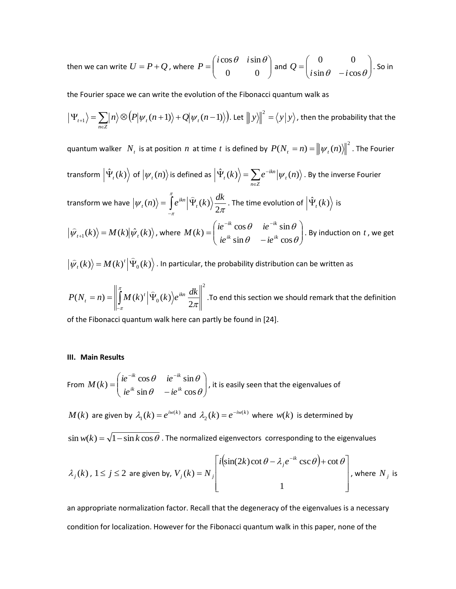then we can write  $U = P + Q$ , where  $P = \begin{bmatrix} 1 & 0 & 0 \\ 0 & 0 & 0 \end{bmatrix}$  $\bigg)$  $\setminus$  $\overline{\phantom{a}}$  $\setminus$  $=$  $\left($ 0 0  $i\cos\theta$   $i\sin\theta$  $P = \begin{bmatrix} 1 & 0 & 0 \\ 0 & 0 & 0 \end{bmatrix}$  and  $Q = \begin{bmatrix} 0 & 0 \\ i \sin \theta & -i \cos \theta \end{bmatrix}$  $\bigg)$  $\setminus$  $\overline{\phantom{a}}$  $\setminus$ ſ  $\overline{a}$  $=$  $\sin \theta$  -  $i \cos \theta$ 0 0  $i \sin \theta$  - *i*  $Q = \begin{vmatrix} 0 & 0 & 0 \\ 0 & 0 & 0 \end{vmatrix}$ . So in

the Fourier space we can write the evolution of the Fibonacci quantum walk as

$$
\left|\Psi_{t+1}\right\rangle = \sum_{n\in\mathbb{Z}}|n\rangle\otimes\left(\mathcal{P}\left|\psi_{t}(n+1)\right\rangle+\mathcal{Q}\left|\psi_{t}(n-1)\right\rangle\right).
$$
 Let  $\left\|y\right\|^{2} = \langle y|y\rangle$ , then the probability that the

quantum walker  $N_t$  is at position  $n$  at time  $t$  is defined by  $P(N_t=n) = \left\| \psi_t(n) \right\|^2$  . The Fourier transform  $\left|\hat{\Psi}_{t}(k)\right\rangle$  of  $\left|\psi_{t}(n)\right\rangle$  is defined as  $\left|\hat{\Psi}_{t}(k)\right\rangle =\sum_{n\in\mathbb{Z}}% \left|\psi_{n}(n)\right\rangle$  $\hat{\Psi}_{i}(k)\rangle = \sum e^{-\frac{1}{2}ikx}$ *n Z t ikn*  $\hat{\Psi}_{t}(k)\Bigl\rangle =\sum e^{-ikn}\bigl|\psi_{t}(n)\bigr\rangle$  . By the inverse Fourier transform we have  $\big|\psi_{_I}(n)\rangle=\int\!e^{i\kappa n}\big|\Psi_{_I}(k)\big\rangle\frac{d\kappa n}{2\pi}$ π π 2  $\langle n \rangle = \int_{0}^{\pi} e^{ikn} \left| \hat{\Psi}_{t}(k) \right\rangle \frac{dk}{2\pi}$ - $\frac{1}{2}$ . The time evolution of  $\left| \hat{\Psi}_{_{t}}(k)\right\rangle$  is  $\langle \hat{\psi}_{t+1}(k) \rangle = M(k) |\hat{\psi}_{t}(k) \rangle$ , where  $M(k) = \begin{pmatrix} ie^{-ik}\cos\theta & ie^{-ik}\sin\theta \\ ie^{ik}\sin\theta & -ie^{ik}\cos\theta \end{pmatrix}$  $\bigg)$  $\backslash$  $\overline{\phantom{a}}$  $\setminus$ ſ  $\overline{a}$  $=$  $e^{-ik}$  and  $\theta$  is  $i\pi$  $\theta$  – ie<sup>u</sup> cos  $\theta$  $\theta$  ie<sup>-tk</sup> sin  $\theta$  $\sin \theta$  -ie<sup>ik</sup> cos  $k(k) = \begin{cases} i e^{-ik} \cos \theta & i e^{-ik} \sin \theta \\ i e^{ik} \sin \theta & i e^{ik} \cos \theta \end{cases}$  $ik$  **ignal**  $i \cdot e^{-ik}$  $ie^{ik} \sin \theta$  *-ie*  $ie^{-ik}\cos\theta$  *ie*  $M(k) = \begin{bmatrix} k & 0.686 & k & 0.686 \\ 0.666 & k & 0.666 \end{bmatrix}$ . By induction on t, we get

 $\langle k \rangle$  =  $M(k)$ <sup>t</sup>  $\left| \hat{\Psi}_0(k) \right|$  $\widehat{u}_t(k)\big\rangle = M(k)^t\big|\widehat{Y}_t\big|$  $|\hat{\psi}_{i}(k)\rangle$  =  $M(k)^{t}|\Psi_{0}(k)\rangle$  . In particular, the probability distribution can be written as

2  $0^{(k)}/e$  2  $(N_t = n) = \left\| \int_{-\pi}^{n} M(k)^t \right| \hat{\Psi}_0(k)$  $(n) = \left\| \int_0^{\pi} M(k)^t \right| \widehat{\Psi}$ π  $P(N_t = n) = \left| \int_0^{\pi} M(k)^t \right| \hat{\Psi}_0(k) e^{ikn} \frac{dk}{2\pi}$ *t*  $\overline{a}$ .To end this section we should remark that the definition

of the Fibonacci quantum walk here can partly be found in [24].

#### **III. Main Results**

From 
$$
M(k) = \begin{pmatrix} ie^{-ik}\cos\theta & ie^{-ik}\sin\theta \\ ie^{ik}\sin\theta & -ie^{ik}\cos\theta \end{pmatrix}
$$
, it is easily seen that the eigenvalues of

 $M(k)$  are given by  $\lambda_1(k) = e^{i w(k)}$  $\lambda_1(k) = e^{iw(k)}$  and  $\lambda_2(k) = e^{-iw(k)}$  $\lambda_2(k) = e^{-iw(k)}$  where  $w(k)$  is determined by

 $\sin w(k) = \sqrt{1-\sin k \cos \theta}$  . The normalized eigenvectors corresponding to the eigenvalues

$$
\lambda_j(k)
$$
,  $1 \le j \le 2$  are given by,  $V_j(k) = N_j \begin{bmatrix} i(\sin(2k)\cot \theta - \lambda_j e^{-ik} \csc \theta) + \cot \theta \\ 1 \end{bmatrix}$ , where  $N_j$  is

an appropriate normalization factor. Recall that the degeneracy of the eigenvalues is a necessary condition for localization. However for the Fibonacci quantum walk in this paper, none of the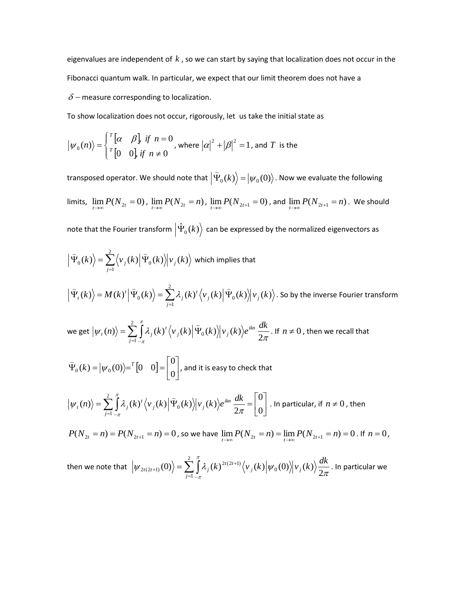eigenvalues are independent of  $k$  , so we can start by saying that localization does not occur in the Fibonacci quantum walk. In particular, we expect that our limit theorem does not have a

 $\delta$  – measure corresponding to localization.

To show localization does not occur, rigorously, let us take the initial state as

$$
\left|\psi_0(n)\right\rangle = \begin{cases} \binom{r}{\alpha} & \text{if } n = 0 \\ \binom{r}{0} & 0 \text{if } n \neq 0 \end{cases}
$$
, where  $|\alpha|^2 + |\beta|^2 = 1$ , and  $T$  is the

transposed operator. We should note that  $\left|\mathring{\Psi}_{0}(k)\right\rangle\!=\!\left|\psi_{0}(0)\right\rangle$  $\overline{a}$ . Now we evaluate the following limits,  $\lim_{t\to\infty}P(N_{2t}=0)$ ,  $\lim_{t\to\infty}P(N_{2t}=n)$ ,  $\lim_{t\to\infty}P(N_{2t+1}=0)$ , and  $\lim_{t\to\infty}P(N_{2t+1}=n)$ . We should note that the Fourier transform  $\big|\hat{\Psi}_{_0}(k)\big\rangle$  can be expressed by the normalized eigenvectors as  $\langle k \rangle = \sum \langle v_i(k) | \Psi_0(k) \rangle | v_i(k)$ 2 1  $\langle v_0(k) \rangle = \sum \langle v_j(k) | \Psi_0(k) \rangle | v_j(k)$  $\sum_{j=1}^n \Bigl\langle \nu_j \Bigr\rangle$  $\langle \Psi_0(k) \rangle = \sum \langle v_i(k) | \Psi_0 \rangle$  $\sum_{i=1}^{\infty}$   $\sum_{i=1}^{\infty}$   $\sum_{i=1}^{\infty}$ which implies that  $\langle k \rangle = M(k)^t |\Psi_0(k)\rangle = \sum \lambda_i (k)^t \langle v_i(k) | \Psi_0(k)\rangle |v_i(k)\rangle$ 2 1  $\langle k \rangle = M(k)^{t} \left| \Psi_{0}(k) \right\rangle = \sum \lambda_{j}(k)^{t} \left\langle v_{j}(k) \right| \Psi_{0}(k) \left| v_{j}(k) \right\rangle$ *j j t j*  $\hat{H}_{t}(k)$  =  $M(k)^{t} \left| \hat{H}_{0}(k) \right\rangle = \sum_{j=1}^{t} \lambda_{j}(k)^{t} \left\langle v_{j}(k) \right| \hat{H}_{0}$  $\langle \widehat{\Psi}_{t}(k)\rangle\!=\!M(k)^{t}\big|\widehat{\Psi}_{0}(k)\big\rangle\!=\!\sum^{2}\!\mathcal{X}_{i}(k)^{t}\big\langle\boldsymbol{v}_{i}(k)\big|\widehat{\Psi}_{0}(k)\big\rangle\!|v_{i}(k)\big\rangle.$  So by the inverse Fourier transform we get  $\big|\psi_{i}(n)\big>=\sum_{i=1}\int\lambda_{j}(k)^{i}\big\langle\overline{\nu}_{j}(k)\big|\Psi_{0}(k)\big\rangle\overline{\nu}_{j}(k)\big)e^{ikn}\frac{d\overline{\psi_{i}}}{2\pi}$ π π 2  $\langle n \rangle = \sum_i |\lambda_i(k)^t \langle v_i(k) | \Psi_0(k) \rangle | v_i(k)$ 2 1 0  $\langle n \rangle = \sum_{k=1}^{n} \int_{0}^{\pi} \lambda_i(k)^t \langle v_{i}(k) | \hat{v}_{i}(k) \rangle v_{i}(k) \rangle e^{ikn} \frac{dk}{dt}$ *j j j*  $\langle f_n(n) \rangle = \sum_{j=1}^n \int_{-\pi}^{\pi} \lambda_j(k)^j$  $=\sum |\lambda_i(k)^t \langle v_i(k)|\hat{\Psi}\rangle$  $\overline{a}$ . If  $n \neq 0$ , then we recall that  $\begin{bmatrix} 0 & 0 \end{bmatrix} = \begin{bmatrix} 0 \\ 0 \end{bmatrix}$  $\rfloor$  $\overline{\phantom{a}}$  $\mathsf{L}$ L  $\hat{\Psi}_{0}(k) = |\psi_{0}(0)\rangle =^{T} [0 \quad 0] =$ 0 0  $\psi_0(k) = |\psi_0(0)\rangle = {}^T [0 \quad 0]$  $\overline{a}$ , and it is easy to check that

$$
\left|\psi_{t}(n)\right\rangle = \sum_{j=1}^{2} \int_{-\pi}^{\pi} \lambda_{j}(k)^{t} \left\langle v_{j}(k) \right| \hat{\Psi}_{0}(k) \left|\psi_{j}(k)\right\rangle e^{ikn} \frac{dk}{2\pi} = \begin{bmatrix} 0 \\ 0 \end{bmatrix}.
$$
 In particular, if  $n \neq 0$ , then

 $P(N_{2t} = n) = P(N_{2t+1} = n) = 0$ , so we have  $\lim_{t \to \infty} P(N_{2t} = n) = \lim_{t \to \infty} P(N_{2t+1} = n) = 0$ . If  $n = 0$ ,

then we note that  $\left|\psi_{2t(2t+1)}(0)\right\rangle = \sum_{i=1} \int \lambda_j(k)^{2t(2t+1)} \big\langle \overline{\nu}_j(k)\big| \overline{\psi_0(0)}\big\rangle\big|\overline{\nu}_j(k)\big\rangle \frac{d\overline{\nu}_j(k)}{2\pi}$ π π 2  $(0) = \sum_i |\lambda_i(k)|^{2t(2t+1)} \langle v_i(k)|\psi_0(0)\rangle |v_i(k)|$ 2 1 0  $2t(2t+1)$  $\langle u_{2t(2t+1)}(0)\rangle = \sum_{i=1}^{2}\int_{0}^{\pi}\lambda_{i}(k)^{2t(2t+1)}\langle v_{i}(k)|\psi_{0}(0)\rangle|v_{i}(k)\rangle \frac{dk}{2\pi}$ *j j*  $f_{t(2t+1)}(0) = \sum_{j=1}^{t} \int_{-\pi}^{\pi} \lambda_j(k)^{2t(2t)}$  $^{+}$  $\ket{u_{i+1}(0)} = \sum \left(\frac{\lambda_i(k)^{2t(2t+1)}}{\nu_j(k)} \middle| \psi_0(0) \middle| \psi_j(k) \right) \frac{dk}{2}$ . In particular we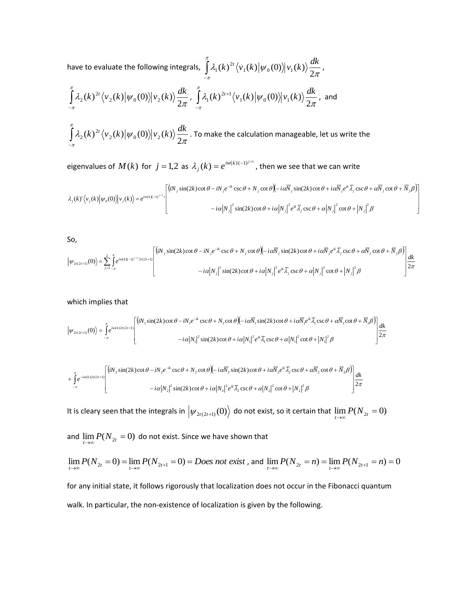have to evaluate the following integrals,  $\int \lambda_1(k)^{2\tau}\big\langle \nu_1(k)\big| \psi_0(0)\big\rangle\big| \nu_1(k)\big\rangle \frac{d\tau}{2\pi}$ π  $\int_{\pi} \lambda_1(k)^{2t} \langle v_1(k)|\psi_0(0)\rangle |v_1(k)\rangle \frac{d}{2}$  $\int\limits_{-\pi}^{\pi}\lambda_{1}(k)^{2t}\big\langle v_{1}(k)\big|\psi_{0}(0)\big\rangle\big|v_{1}(k)\big\rangle\frac{dk}{2\pi}$ ,

$$
\int_{-\pi}^{\pi} \lambda_2(k)^{2t} \langle v_2(k) | \psi_0(0) \rangle | v_2(k) \rangle \frac{dk}{2\pi}, \int_{-\pi}^{\pi} \lambda_1(k)^{2t+1} \langle v_1(k) | \psi_0(0) \rangle | v_1(k) \rangle \frac{dk}{2\pi}, \text{ and}
$$

 $\lambda_2(k)^{2} \langle v_2(k)|\psi_0(0)\rangle |v_2(k)\rangle \frac{dE}{2\pi}$ π  $\int\limits_{\pi}^{\pi}\lambda_2(k)^{2t}\big\langle\overline{v}_2(k)\big|\psi_0(0)\big\rangle\big|\overline{v}_2(k)\big\rangle\frac{d}{2}$  $\int\limits_{-\pi}^{\pi}\lambda_2(k)^{2t}\big\langle v_{2}(k)\big|\psi_{0}(0)\big\rangle\big|v_{2}(k)\big\rangle\frac{dk}{2\pi}$ . To make the calculation manageable, let us write the

eigenvalues of  $M(k)$  for  $j = 1,2$  as  $\lambda_j(k) = e^{i w(k)(-1)^{j+1}}$ , then we see that we can write

$$
\lambda_j(k)'\langle v_j(k)|\psi_0(0)\rangle|v_j(k)\rangle = e^{iw(k)(-1)^{j+1}r} \begin{bmatrix} (iN_j\sin(2k)\cot\theta - iN_j e^{-ik}\csc\theta + N_j\cot\theta)(-i\alpha\overline{N}_j\sin(2k)\cot\theta + i\alpha\overline{N}_j e^{ik}\overline{\lambda}_j\csc\theta + \alpha\overline{N}_j\cot\theta + \overline{N}_j\beta) \\ -i\alpha|N_j|^2\sin(2k)\cot\theta + i\alpha|N_j|^2 e^{ik}\overline{\lambda}_j\csc\theta + \alpha|N_j|^2\cot\theta + |N_j|^2\beta \end{bmatrix}
$$

So,

$$
\left|\psi_{2t(2t+1)}(0)\right\rangle = \sum_{j=1}^{2} \int_{-\pi}^{\pi} e^{iw(k)(-1)^{j+1}2t(2t+1)} \left[ \begin{pmatrix} iN_j \sin(2k)\cot\theta - iN_j e^{-ik} \csc\theta + N_j \cot\theta \end{pmatrix} - i\alpha N_j \sin(2k)\cot\theta + i\alpha N_j e^{ik} \overline{\lambda}_j \csc\theta + \alpha N_j \cot\theta + i\alpha N_j e^{ik} \overline{\lambda}_j \csc\theta + \alpha N_j \cot\theta + i\alpha N_j e^{ik} \overline{\lambda}_j \csc\theta + \alpha N_j e^{ik} \overline{\lambda}_j \csc\theta + \alpha N_j e^{ik} \overline{\lambda}_j \csc\theta + \alpha N_j e^{ik} \overline{\lambda}_j \csc\theta + \alpha N_j e^{ik} \overline{\lambda}_j \csc\theta + \alpha N_j e^{ik} \overline{\lambda}_j \csc\theta + \alpha N_j e^{ik} \overline{\lambda}_j \csc\theta + \alpha N_j e^{ik} \overline{\lambda}_j \csc\theta + \alpha N_j e^{ik} \overline{\lambda}_j \csc\theta + \alpha N_j e^{ik} \overline{\lambda}_j \csc\theta + \alpha N_j e^{ik} \overline{\lambda}_j \csc\theta + \alpha N_j e^{ik} \overline{\lambda}_j \csc\theta + \alpha N_j e^{ik} \overline{\lambda}_j \csc\theta + \alpha N_j e^{ik} \overline{\lambda}_j \csc\theta + \alpha N_j e^{ik} \overline{\lambda}_j \csc\theta + \alpha N_j e^{ik} \overline{\lambda}_j \csc\theta + \alpha N_j e^{ik} \overline{\lambda}_j \csc\theta + \alpha N_j e^{ik} \overline{\lambda}_j \csc\theta + \alpha N_j e^{ik} \overline{\lambda}_j \csc\theta + \alpha N_j e^{ik} \overline{\lambda}_j \csc\theta + \alpha N_j e^{ik} \overline{\lambda}_j \csc\theta + \alpha N_j e^{ik} \overline{\lambda}_j \csc\theta + \alpha N_j e^{ik} \overline{\lambda}_j \csc\theta + \alpha N_j e^{ik} \overline{\lambda}_j \csc\theta + \alpha N_j e^{ik} \overline{\lambda}_j \csc\theta + \alpha N_j e^{ik} \overline{\lambda}_j \csc\theta + \alpha N_j e^{ik} \overline{\lambda}_j \csc\theta + \alpha N_j e^{
$$

which implies that

$$
\left| \psi_{2t(2t+1)}(0) \right\rangle = \int_{-\pi}^{\pi} e^{iw(k)2t(2t+1)} \left[ \frac{\left( iN_1 \sin(2k) \cot \theta - iN_1 e^{-ik} \csc \theta + N_1 \cot \theta \right) - i\alpha \overline{N_1} \sin(2k) \cot \theta + i\alpha \overline{N_1} e^{ik} \overline{\lambda_1} \csc \theta + \alpha \overline{N_1} \cot \theta + \overline{N_1} \beta \right] \frac{dk}{2\pi} \right]
$$

$$
+\int_{-\pi}^{\pi}e^{-iw(k)2t(2t+1)}\left[\frac{(iN_{2}\sin(2k)\cot\theta -iN_{2}e^{-ik}\csc\theta+N_{2}\cot\theta)(-i\alpha\overline{N}_{2}\sin(2k)\cot\theta+i\alpha\overline{N}_{2}e^{ik}\overline{\lambda}_{2}\csc\theta+\alpha\overline{N}_{2}\cot\theta+\overline{N}_{2}\beta)}{-i\alpha|N_{2}|^{2}\sin(2k)\cot\theta+i\alpha|N_{2}|^{2}e^{ik}\overline{\lambda}_{2}\csc\theta+\alpha|N_{2}|^{2}\cot\theta+|N_{2}|^{2}\beta}\right]\frac{dk}{2\pi}
$$

It is cleary seen that the integrals in  $\big\vert \psi_{2t(2t+1)}(0)\big\rangle$  do not exist, so it certain that  $\lim\limits_{t\to\infty}P(N_{2t}=0)$ 

and  $\lim\limits_{t\to\infty}P(N_{_{2t}}=0)$  do not exist. Since we have shown that

$$
\lim_{t \to \infty} P(N_{2t} = 0) = \lim_{t \to \infty} P(N_{2t+1} = 0) = Does not exist, and \lim_{t \to \infty} P(N_{2t} = n) = \lim_{t \to \infty} P(N_{2t+1} = n) = 0
$$

for any initial state, it follows rigorously that localization does not occur in the Fibonacci quantum walk. In particular, the non-existence of localization is given by the following.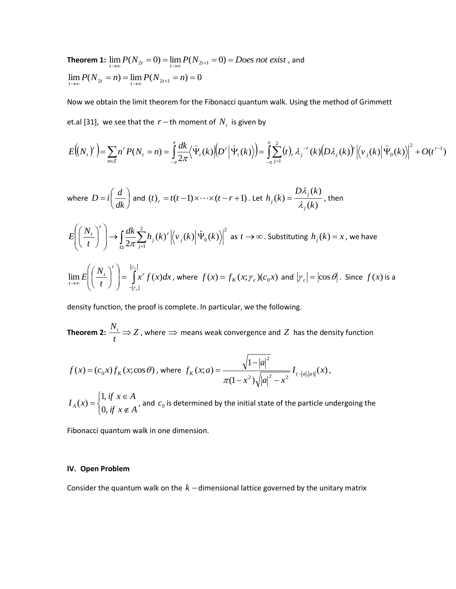**Theorem 1:**  $\lim_{t\to\infty} P(N_{2t} = 0) = \lim_{t\to\infty} P(N_{2t+1} = 0) = Does not exist$ , and  $\lim_{t \to \infty} P(N_{2t} = n) = \lim_{t \to \infty} P(N_{2t+1} = n) = 0$ 

Now we obtain the limit theorem for the Fibonacci quantum walk. Using the method of Grimmett et.al [31], we see that the  $r-$ th moment of  $N_t$  is given by

$$
E\left(\left(N_{t}\right)^{r}\right) = \sum_{n\in\mathbb{Z}} n^{r} P(N_{t} = n) = \int_{-\pi}^{\pi} \frac{dk}{2\pi} \left\langle \widehat{\Psi}_{t}(k) \left| \left(D^{r}\right| \widehat{\Psi}_{t}(k) \right\rangle \right) = \int_{-\pi}^{\pi} \sum_{j=1}^{2} (t)_{r} \lambda_{j}^{-r}(k) \left(D\lambda_{j}(k)\right)^{r} \left|\left\langle \nu_{j}(k) \right| \widehat{\Psi}_{0}(k) \right\rangle \right|^{2} + O(t^{r-1})
$$

where 
$$
D = i\left(\frac{d}{dk}\right)
$$
 and  $(t)_r = t(t-1)\times\cdots\times(t-r+1)$ . Let  $h_j(k) = \frac{D\lambda_j(k)}{\lambda_j(k)}$ , then  
\n
$$
E\left(\left(\frac{N_t}{t}\right)^r\right) \to \int_{\Omega} \frac{dk}{2\pi} \sum_{j=1}^2 h_j(k)^r \Big|\Big\langle v_j(k)\Big|\hat{\Psi}_0(k)\Big|^2 \text{ as } t \to \infty \text{. Substituting } h_j(k) = x \text{, we have}
$$
\n
$$
\lim_{t \to \infty} E\left(\left(\frac{N_t}{t}\right)^r\right) = \int_{-|z_s|}^{|z_s|} x^r f(x) dx \text{, where } f(x) = f_k(x; \gamma_\varepsilon)(c_0 x) \text{ and } |\gamma_\varepsilon| = |\cos \theta| \text{. Since } f(x) \text{ is a}
$$

density function, the proof is complete. In particular, we the following.

**Theorem 2:**  $\frac{N_t}{N} \Rightarrow Z$ *t*  $\frac{N_t}{N}$   $\Rightarrow$   $Z$  , where  $\Rightarrow$  means weak convergence and  $Z$  has the density function

$$
f(x) = (c_0 x) f_K(x; \cos \theta), \text{ where } f_K(x; a) = \frac{\sqrt{1-|a|^2}}{\pi (1-x^2) \sqrt{|a|^2 - x^2}} I_{(-|a|,|a|)}(x),
$$

$$
I_A(x) = \begin{cases} 1, & \text{if } x \in A \\ 0, & \text{if } x \notin A \end{cases}
$$
, and  $c_0$  is determined by the initial state of the particle undergoing the

Fibonacci quantum walk in one dimension.

# **IV. Open Problem**

Consider the quantum walk on the  $k$  – dimensional lattice governed by the unitary matrix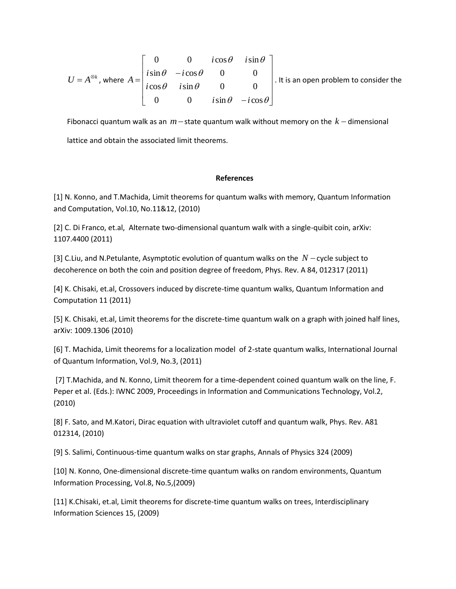$$
U = A^{\otimes k}, \text{ where } A = \begin{bmatrix} 0 & 0 & i\cos\theta & i\sin\theta \\ i\sin\theta & -i\cos\theta & 0 & 0 \\ i\cos\theta & i\sin\theta & 0 & 0 \\ 0 & 0 & i\sin\theta & -i\cos\theta \end{bmatrix}. \text{ It is an open problem to consider the}
$$

Fibonacci quantum walk as an  $m-$ state quantum walk without memory on the  $k-$  dimensional lattice and obtain the associated limit theorems.

## **References**

[1] N. Konno, and T.Machida, Limit theorems for quantum walks with memory, Quantum Information and Computation, Vol.10, No.11&12, (2010)

[2] C. Di Franco, et.al, Alternate two-dimensional quantum walk with a single-quibit coin, arXiv: 1107.4400 (2011)

[3] C.Liu, and N.Petulante, Asymptotic evolution of quantum walks on the  $N$  - cycle subject to decoherence on both the coin and position degree of freedom, Phys. Rev. A 84, 012317 (2011)

[4] K. Chisaki, et.al, Crossovers induced by discrete-time quantum walks, Quantum Information and Computation 11 (2011)

[5] K. Chisaki, et.al, Limit theorems for the discrete-time quantum walk on a graph with joined half lines, arXiv: 1009.1306 (2010)

[6] T. Machida, Limit theorems for a localization model of 2-state quantum walks, International Journal of Quantum Information, Vol.9, No.3, (2011)

[7] T.Machida, and N. Konno, Limit theorem for a time-dependent coined quantum walk on the line, F. Peper et al. (Eds.): IWNC 2009, Proceedings in Information and Communications Technology, Vol.2, (2010)

[8] F. Sato, and M.Katori, Dirac equation with ultraviolet cutoff and quantum walk, Phys. Rev. A81 012314, (2010)

[9] S. Salimi, Continuous-time quantum walks on star graphs, Annals of Physics 324 (2009)

[10] N. Konno, One-dimensional discrete-time quantum walks on random environments, Quantum Information Processing, Vol.8, No.5,(2009)

[11] K.Chisaki, et.al, Limit theorems for discrete-time quantum walks on trees, Interdisciplinary Information Sciences 15, (2009)